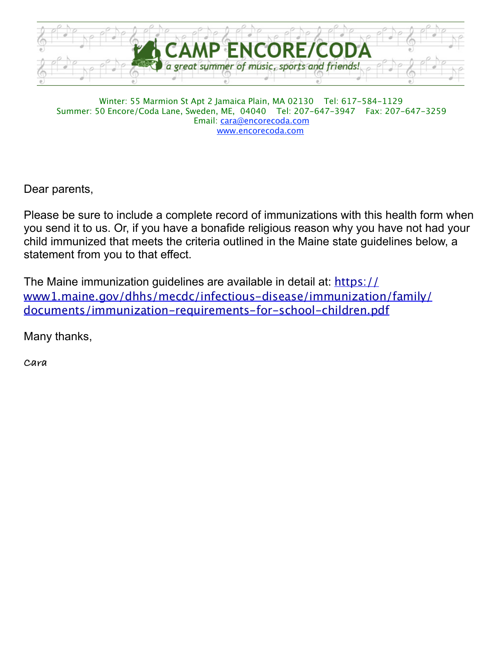

Winter: 55 Marmion St Apt 2 Jamaica Plain, MA 02130 Tel: 617-584-1129 Summer: 50 Encore/Coda Lane, Sweden, ME, 04040 Tel: 207-647-3947 Fax: 207-647-3259 Email: [cara@encorecoda.com](mailto:cara@encorecoda.com) [www.encorecoda.com](http://www.encorecoda.com)

Dear parents,

Please be sure to include a complete record of immunizations with this health form when you send it to us. Or, if you have a bonafide religious reason why you have not had your child immunized that meets the criteria outlined in the Maine state guidelines below, a statement from you to that effect.

The Maine immunization guidelines are available in detail at: [https://](https://www1.maine.gov/dhhs/mecdc/infectious-disease/immunization/family/documents/immunization-requirements-for-school-children.pdf) [www1.maine.gov/dhhs/mecdc/infectious-disease/immunization/family/](https://www1.maine.gov/dhhs/mecdc/infectious-disease/immunization/family/documents/immunization-requirements-for-school-children.pdf) [documents/immunization-requirements-for-school-children.pdf](https://www1.maine.gov/dhhs/mecdc/infectious-disease/immunization/family/documents/immunization-requirements-for-school-children.pdf)

Many thanks,

**Cara**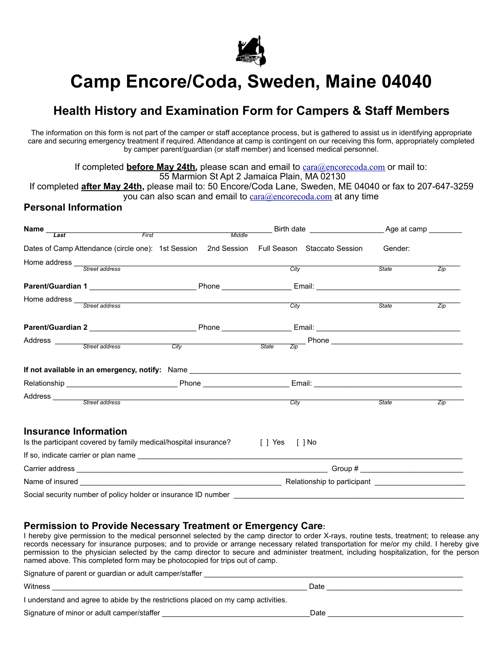

# **Camp Encore/Coda, Sweden, Maine 04040**

## **Health History and Examination Form for Campers & Staff Members**

The information on this form is not part of the camper or staff acceptance process, but is gathered to assist us in identifying appropriate care and securing emergency treatment if required. Attendance at camp is contingent on our receiving this form, appropriately completed by camper parent/guardian (or staff member) and licensed medical personnel.

If completed **before May 24th**, please scan and email to [cara@encorecoda.com](mailto:cara@encorecoda.com) or mail to: 55 Marmion St Apt 2 Jamaica Plain, MA 02130

If completed **after May 24th,** please mail to: 50 Encore/Coda Lane, Sweden, ME 04040 or fax to 207-647-3259 you can also scan and email to [cara@encorecoda.com](mailto:cara@encorecoda.com) at any time

#### **Personal Information**

| Name_<br>Last                | First                                                                           |  |  |      | Birth date by a camp and Age at camp                                                                           |         |     |
|------------------------------|---------------------------------------------------------------------------------|--|--|------|----------------------------------------------------------------------------------------------------------------|---------|-----|
|                              | Dates of Camp Attendance (circle one): 1st Session 2nd Session                  |  |  |      | Full Season Staccato Session                                                                                   | Gender: |     |
|                              | Home address <u>Street address</u>                                              |  |  |      |                                                                                                                |         |     |
|                              |                                                                                 |  |  | City |                                                                                                                | State   | Zip |
|                              |                                                                                 |  |  |      |                                                                                                                |         |     |
| Home address _               | Street address                                                                  |  |  |      |                                                                                                                |         |     |
|                              |                                                                                 |  |  |      | City                                                                                                           | State   | Zip |
|                              |                                                                                 |  |  |      |                                                                                                                |         |     |
|                              | Address <u>Street address City</u> City State State                             |  |  |      |                                                                                                                |         |     |
|                              |                                                                                 |  |  | Zip  |                                                                                                                |         |     |
|                              |                                                                                 |  |  |      |                                                                                                                |         |     |
|                              |                                                                                 |  |  |      |                                                                                                                |         |     |
|                              | Address <u>Street</u> address                                                   |  |  |      | City                                                                                                           | State   | Zip |
| <b>Insurance Information</b> | Is the participant covered by family medical/hospital insurance? [ ] Yes [ ] No |  |  |      |                                                                                                                |         |     |
|                              |                                                                                 |  |  |      |                                                                                                                |         |     |
|                              |                                                                                 |  |  |      |                                                                                                                |         |     |
|                              |                                                                                 |  |  |      | Relationship to participant example of the set of the set of the set of the set of the set of the set of the s |         |     |
|                              | Social security number of policy holder or insurance ID number                  |  |  |      |                                                                                                                |         |     |

#### **Permission to Provide Necessary Treatment or Emergency Care:**

Signature of parent or guardian or adult camper/staffer

I hereby give permission to the medical personnel selected by the camp director to order X-rays, routine tests, treatment; to release any records necessary for insurance purposes; and to provide or arrange necessary related transportation for me/or my child. I hereby give permission to the physician selected by the camp director to secure and administer treatment, including hospitalization, for the person named above. This completed form may be photocopied for trips out of camp.

| olynature or parent or guardian or addit campenstance                             |      |
|-----------------------------------------------------------------------------------|------|
| Witness                                                                           | Date |
| I understand and agree to abide by the restrictions placed on my camp activities. |      |
| Signature of minor or adult camper/staffer                                        | Date |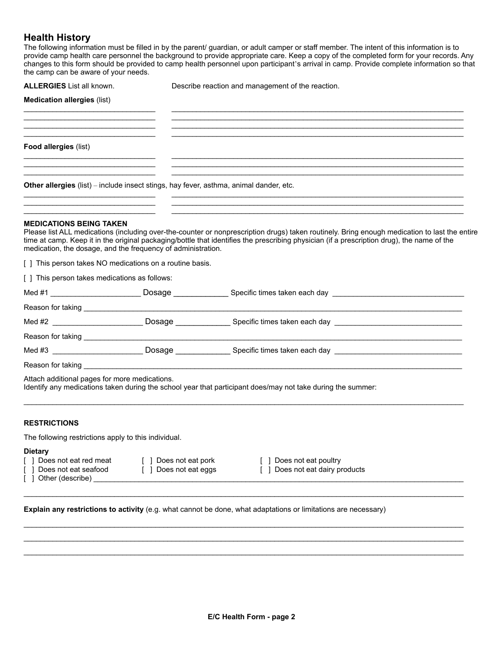#### **Health History**

The following information must be filled in by the parent/ guardian, or adult camper or staff member. The intent of this information is to provide camp health care personnel the background to provide appropriate care. Keep a copy of the completed form for your records. Any changes to this form should be provided to camp health personnel upon participant's arrival in camp. Provide complete information so that the camp can be aware of your needs.

| <b>ALLERGIES</b> List all known.              |                                                                                        | Describe reaction and management of the reaction.                                                                                                                                                                                                                                           |
|-----------------------------------------------|----------------------------------------------------------------------------------------|---------------------------------------------------------------------------------------------------------------------------------------------------------------------------------------------------------------------------------------------------------------------------------------------|
| <b>Medication allergies (list)</b>            |                                                                                        |                                                                                                                                                                                                                                                                                             |
|                                               |                                                                                        |                                                                                                                                                                                                                                                                                             |
| <b>Food allergies (list)</b>                  |                                                                                        |                                                                                                                                                                                                                                                                                             |
|                                               | Other allergies (list) - include insect stings, hay fever, asthma, animal dander, etc. |                                                                                                                                                                                                                                                                                             |
| <b>MEDICATIONS BEING TAKEN</b>                | medication, the dosage, and the frequency of administration.                           | Please list ALL medications (including over-the-counter or nonprescription drugs) taken routinely. Bring enough medication to last the entire<br>time at camp. Keep it in the original packaging/bottle that identifies the prescribing physician (if a prescription drug), the name of the |
|                                               | [ ] This person takes NO medications on a routine basis.                               |                                                                                                                                                                                                                                                                                             |
| [ ] This person takes medications as follows: |                                                                                        |                                                                                                                                                                                                                                                                                             |
|                                               |                                                                                        |                                                                                                                                                                                                                                                                                             |
|                                               |                                                                                        |                                                                                                                                                                                                                                                                                             |
|                                               |                                                                                        | Med #2 <b>Secret All Example 2008</b> Specific times taken each day                                                                                                                                                                                                                         |
|                                               |                                                                                        |                                                                                                                                                                                                                                                                                             |
|                                               |                                                                                        |                                                                                                                                                                                                                                                                                             |
|                                               |                                                                                        | Reason for taking the contract of the contract of the contract of the contract of the contract of the contract of the contract of the contract of the contract of the contract of the contract of the contract of the contract                                                              |
| Attach additional pages for more medications. |                                                                                        | Identify any medications taken during the school year that participant does/may not take during the summer:                                                                                                                                                                                 |

#### **RESTRICTIONS**

The following restrictions apply to this individual.

#### **Dietary**

- 
- 
- $\lceil$  ] Other (describe)
- [ ] Does not eat red meat [ ] Does not eat pork [ ] Does not eat poultry
	-
- 
- [ ] Does not eat eggs [ ] Does not eat dairy products

**Explain any restrictions to activity** (e.g. what cannot be done, what adaptations or limitations are necessary)

 $\_$  , and the state of the state of the state of the state of the state of the state of the state of the state of the state of the state of the state of the state of the state of the state of the state of the state of the

 $\_$  , and the state of the state of the state of the state of the state of the state of the state of the state of the state of the state of the state of the state of the state of the state of the state of the state of the  $\_$  , and the state of the state of the state of the state of the state of the state of the state of the state of the state of the state of the state of the state of the state of the state of the state of the state of the  $\_$  , and the state of the state of the state of the state of the state of the state of the state of the state of the state of the state of the state of the state of the state of the state of the state of the state of the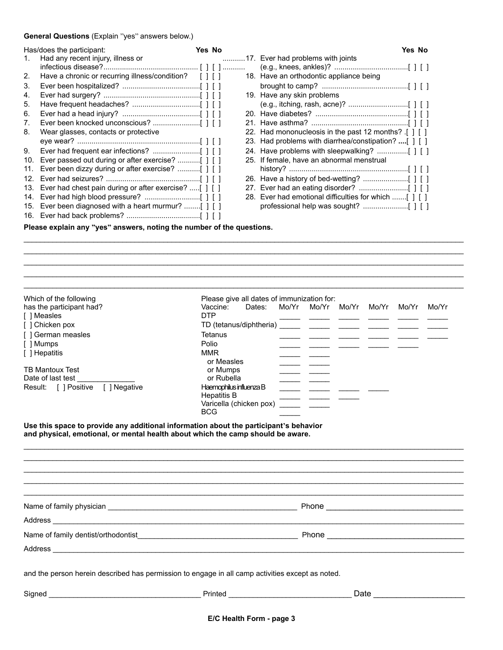#### **General Questions** (Explain "yes" answers below.)

|     | Has/does the participant:<br>Yes No                                   |  |  | Yes No |                                                       |  |  |  |
|-----|-----------------------------------------------------------------------|--|--|--------|-------------------------------------------------------|--|--|--|
| 1.  | Had any recent injury, illness or                                     |  |  |        | 17. Ever had problems with joints                     |  |  |  |
|     |                                                                       |  |  |        |                                                       |  |  |  |
| 2.  | Have a chronic or recurring illness/condition? [ ] [ ]                |  |  |        | 18. Have an orthodontic appliance being               |  |  |  |
| 3.  |                                                                       |  |  |        |                                                       |  |  |  |
| 4.  |                                                                       |  |  |        | 19. Have any skin problems                            |  |  |  |
| 5.  |                                                                       |  |  |        |                                                       |  |  |  |
| 6.  |                                                                       |  |  |        |                                                       |  |  |  |
| 7.  |                                                                       |  |  |        |                                                       |  |  |  |
| 8.  | Wear glasses, contacts or protective                                  |  |  |        | 22. Had mononucleosis in the past 12 months? [ ] [ ]  |  |  |  |
|     |                                                                       |  |  |        | 23. Had problems with diarrhea/constipation? [ ] [ ]  |  |  |  |
| 9.  |                                                                       |  |  |        |                                                       |  |  |  |
| 10. |                                                                       |  |  |        | 25. If female, have an abnormal menstrual             |  |  |  |
| 11. |                                                                       |  |  |        |                                                       |  |  |  |
| 12. |                                                                       |  |  |        |                                                       |  |  |  |
| 13. | Ever had chest pain during or after exercise? [ ] [ ]                 |  |  |        |                                                       |  |  |  |
| 14. |                                                                       |  |  |        | 28. Ever had emotional difficulties for which [ ] [ ] |  |  |  |
|     | 15. Ever been diagnosed with a heart murmur? [ ] [ ]                  |  |  |        |                                                       |  |  |  |
|     |                                                                       |  |  |        |                                                       |  |  |  |
|     | Please explain any "yes" answers, noting the number of the questions. |  |  |        |                                                       |  |  |  |

 $\_$  , and the state of the state of the state of the state of the state of the state of the state of the state of the state of the state of the state of the state of the state of the state of the state of the state of the  $\_$  , and the state of the state of the state of the state of the state of the state of the state of the state of the state of the state of the state of the state of the state of the state of the state of the state of the

| Which of the following                                                                                                                                                                                                                                                                                                                                                                                     | Please give all dates of immunization for: |            |                                     |  |  |  |  |  |  |
|------------------------------------------------------------------------------------------------------------------------------------------------------------------------------------------------------------------------------------------------------------------------------------------------------------------------------------------------------------------------------------------------------------|--------------------------------------------|------------|-------------------------------------|--|--|--|--|--|--|
| has the participant had?                                                                                                                                                                                                                                                                                                                                                                                   | Dates:<br>Vaccine:                         |            | Mo/Yr Mo/Yr Mo/Yr Mo/Yr Mo/Yr Mo/Yr |  |  |  |  |  |  |
| [ ] Measles                                                                                                                                                                                                                                                                                                                                                                                                | <b>DTP</b>                                 |            |                                     |  |  |  |  |  |  |
| [ ] Chicken pox                                                                                                                                                                                                                                                                                                                                                                                            |                                            |            |                                     |  |  |  |  |  |  |
| [ ] German measles                                                                                                                                                                                                                                                                                                                                                                                         | <b>Tetanus</b><br>Polio                    |            |                                     |  |  |  |  |  |  |
| [ ] Mumps                                                                                                                                                                                                                                                                                                                                                                                                  |                                            |            |                                     |  |  |  |  |  |  |
| [ ] Hepatitis                                                                                                                                                                                                                                                                                                                                                                                              |                                            | <b>MMR</b> |                                     |  |  |  |  |  |  |
|                                                                                                                                                                                                                                                                                                                                                                                                            | or Measles                                 |            |                                     |  |  |  |  |  |  |
| <b>TB Mantoux Test</b><br>Date of last test                                                                                                                                                                                                                                                                                                                                                                | or Mumps<br>or Rubella                     |            |                                     |  |  |  |  |  |  |
| Result: [ ] Positive [ ] Negative                                                                                                                                                                                                                                                                                                                                                                          | Haemophilus influenza B                    |            |                                     |  |  |  |  |  |  |
|                                                                                                                                                                                                                                                                                                                                                                                                            | <b>Hepatitis B</b>                         |            |                                     |  |  |  |  |  |  |
|                                                                                                                                                                                                                                                                                                                                                                                                            | Varicella (chicken pox)                    |            |                                     |  |  |  |  |  |  |
|                                                                                                                                                                                                                                                                                                                                                                                                            | <b>BCG</b>                                 |            |                                     |  |  |  |  |  |  |
|                                                                                                                                                                                                                                                                                                                                                                                                            |                                            |            |                                     |  |  |  |  |  |  |
|                                                                                                                                                                                                                                                                                                                                                                                                            |                                            |            |                                     |  |  |  |  |  |  |
|                                                                                                                                                                                                                                                                                                                                                                                                            |                                            |            |                                     |  |  |  |  |  |  |
|                                                                                                                                                                                                                                                                                                                                                                                                            |                                            |            |                                     |  |  |  |  |  |  |
|                                                                                                                                                                                                                                                                                                                                                                                                            |                                            |            |                                     |  |  |  |  |  |  |
| Use this space to provide any additional information about the participant's behavior<br>and physical, emotional, or mental health about which the camp should be aware.<br>Name of family dentist/orthodontist example and the control of the control of the control of family dentist/orthodontist example and the control of the control of the control of the control of the control of the control of |                                            |            |                                     |  |  |  |  |  |  |
| and the person herein described has permission to engage in all camp activities except as noted.                                                                                                                                                                                                                                                                                                           |                                            |            |                                     |  |  |  |  |  |  |